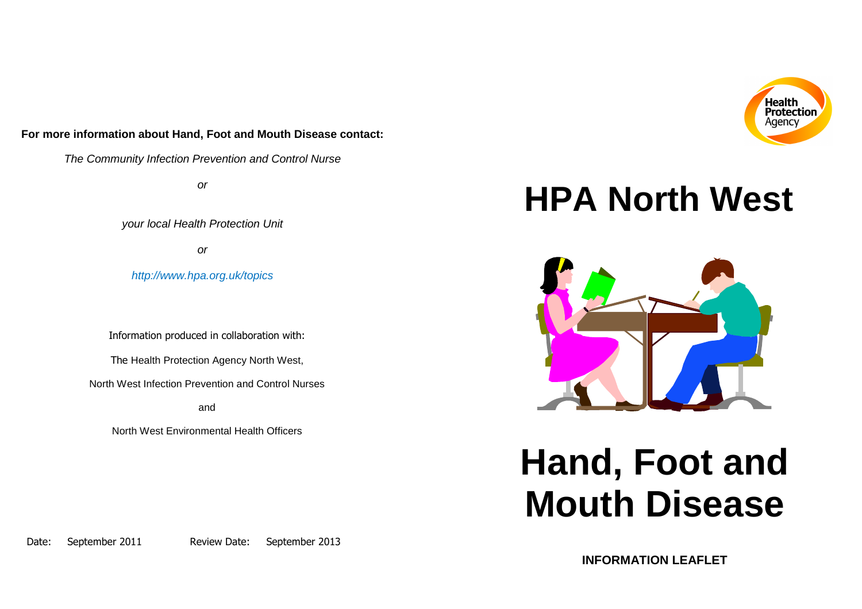## **For more information about Hand, Foot and Mouth Disease contact:**

The Community Infection Prevention and Control Nurse

or

your local Health Protection Unit

or

http://www.hpa.org.uk/topics

Information produced in collaboration with:

The Health Protection Agency North West,

North West Infection Prevention and Control Nurses

and

North West Environmental Health Officers

## **HPA North West**



# **Hand, Foot and Mouth Disease**

Date: September 2011 Review Date: September 2013

**INFORMATION LEAFLET**